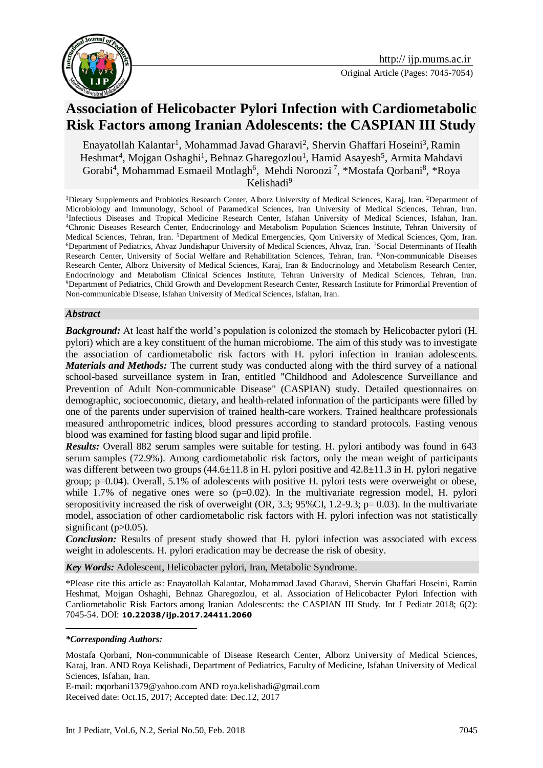

# **Association of [Helicobacter Pylori Infection](https://www.ncbi.nlm.nih.gov/pubmed/28487612) with Cardiometabolic Risk Factors among Iranian Adolescents: the CASPIAN III Study**

Enayatollah Kalantar<sup>1</sup>, Mohammad Javad Gharavi<sup>2</sup>, Shervin Ghaffari Hoseini<sup>3</sup>, Ramin Heshmat<sup>4</sup>, Mojgan Oshaghi<sup>1</sup>, Behnaz Gharegozlou<sup>1</sup>, Hamid Asayesh<sup>5</sup>, Armita Mahdavi Gorabi<sup>4</sup>, Mohammad Esmaeil Motlagh<sup>6</sup>, Mehdi Noroozi<sup>7</sup>, \*Mostafa Qorbani<sup>8</sup>, \*Roya Kelishadi $9$ 

<sup>1</sup>Dietary Supplements and Probiotics Research Center, Alborz University of Medical Sciences, Karaj, Iran. <sup>2</sup>Department of Microbiology and Immunology, School of Paramedical Sciences, Iran University of Medical Sciences, Tehran, Iran. 3 Infectious Diseases and Tropical Medicine Research Center, Isfahan University of Medical Sciences, Isfahan, Iran. <sup>4</sup>Chronic Diseases Research Center, Endocrinology and Metabolism Population Sciences Institute, Tehran University of Medical Sciences, Tehran, Iran. <sup>5</sup>Department of Medical Emergencies, Qom University of Medical Sciences, Qom, Iran. <sup>6</sup>Department of Pediatrics, Ahvaz Jundishapur University of Medical Sciences, Ahvaz, Iran. <sup>7</sup>Social Determinants of Health Research Center, University of Social Welfare and Rehabilitation Sciences, Tehran, Iran. <sup>8</sup>Non-communicable Diseases Research Center, Alborz University of Medical Sciences, Karaj, Iran & Endocrinology and Metabolism Research Center, Endocrinology and Metabolism Clinical Sciences Institute, Tehran University of Medical Sciences, Tehran, Iran. <sup>9</sup>Department of Pediatrics, Child Growth and Development Research Center, Research Institute for Primordial Prevention of Non-communicable Disease, Isfahan University of Medical Sciences, Isfahan, Iran.

#### *Abstract*

*Background:* At least half the world's population is colonized the stomach by Helicobacter pylori (H. pylori) which are a key constituent of the human microbiome. The aim of this study was to investigate the association of cardiometabolic risk factors with H. pylori infection in Iranian adolescents. *Materials and Methods:* The current study was conducted along with the third survey of a national school-based surveillance system in Iran, entitled "Childhood and Adolescence Surveillance and Prevention of Adult Non-communicable Disease" (CASPIAN) study. Detailed questionnaires on demographic, socioeconomic, dietary, and health-related information of the participants were filled by one of the parents under supervision of trained health-care workers. Trained healthcare professionals measured anthropometric indices, blood pressures according to standard protocols. Fasting venous blood was examined for fasting blood sugar and lipid profile.

*Results:* Overall 882 serum samples were suitable for testing. H. pylori antibody was found in 643 serum samples (72.9%). Among cardiometabolic risk factors, only the mean weight of participants was different between two groups  $(44.6\pm11.8 \text{ in H.} \text{ pylori positive and } 42.8\pm11.3 \text{ in H.} \text{ pylori negative})$ group; p=0.04). Overall, 5.1% of adolescents with positive H. pylori tests were overweight or obese, while 1.7% of negative ones were so  $(p=0.02)$ . In the multivariate regression model, H. pylori seropositivity increased the risk of overweight (OR, 3.3;  $95\%$ CI, 1.2-9.3; p= 0.03). In the multivariate model, association of other cardiometabolic risk factors with H. pylori infection was not statistically significant (p>0.05).

*Conclusion:* Results of present study showed that H. pylori infection was associated with excess weight in adolescents. H. pylori eradication may be decrease the risk of obesity.

*Key Words:* [Adolescent,](http://onlinelibrary.wiley.com/doi/10.1111/dote.12429/full) Helicobacter pylori, Iran, Metabolic Syndrome.

\*Please cite this article as: Enayatollah Kalantar, Mohammad Javad Gharavi, Shervin Ghaffari Hoseini, Ramin Heshmat, Mojgan Oshaghi, Behnaz Gharegozlou, et al. Association of [Helicobacter Pylori Infection](https://www.ncbi.nlm.nih.gov/pubmed/28487612) with Cardiometabolic Risk Factors among Iranian Adolescents: the CASPIAN III Study. Int J Pediatr 2018; 6(2): 7045-54. DOI: **10.22038/ijp.2017.24411.2060**

-

E-mail: mqorbani1379@yahoo.com AND roya.kelishadi@gmail.com Received date: Oct.15, 2017; Accepted date: Dec.12, 2017

*<sup>\*</sup>Corresponding Authors:* 

Mostafa Qorbani, Non-communicable of Disease Research Center, Alborz University of Medical Sciences, Karaj, Iran. AND Roya Kelishadi, Department of Pediatrics, Faculty of Medicine, Isfahan University of Medical Sciences, Isfahan, Iran.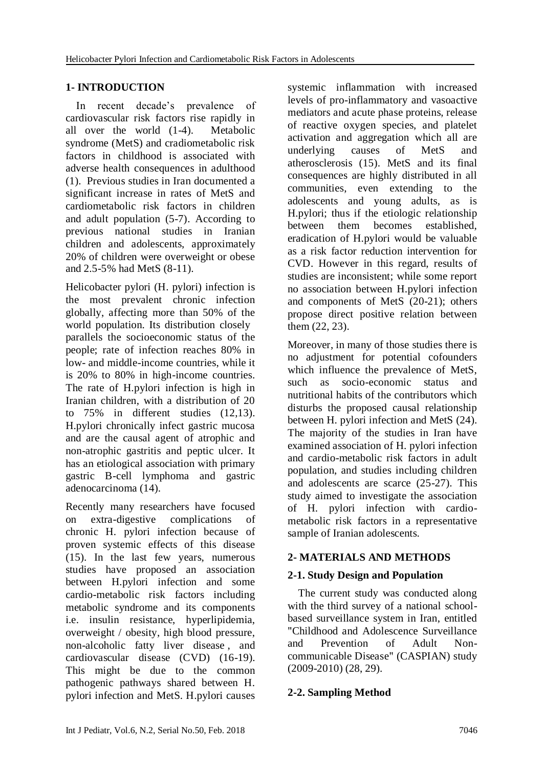#### **1- INTRODUCTION**

 In recent decade's prevalence of cardiovascular risk factors rise rapidly in all over the world (1-4). Metabolic syndrome (MetS) and cradiometabolic risk factors in childhood is associated with adverse health consequences in adulthood (1). Previous studies in Iran documented a significant increase in rates of MetS and cardiometabolic risk factors in children and adult population (5-7). According to previous national studies in Iranian children and adolescents, approximately 20% of children were overweight or obese and 2.5-5% had MetS (8-11).

Helicobacter pylori (H. pylori) infection is the most prevalent chronic infection globally, affecting more than 50% of the world population. Its distribution closely parallels the socioeconomic status of the people; rate of infection reaches 80% in low- and middle-income countries, while it is 20% to 80% in high-income countries. The rate of H.pylori infection is high in Iranian children, with a distribution of 20 to 75% in different studies (12,13). H.pylori chronically infect gastric mucosa and are the causal agent of atrophic and non-atrophic gastritis and peptic ulcer. It has an etiological association with primary gastric B-cell lymphoma and gastric adenocarcinoma (14).

Recently many researchers have focused on extra-digestive complications of chronic H. pylori infection because of proven systemic effects of this disease (15). In the last few years, numerous studies have proposed an association between H.pylori infection and some cardio-metabolic risk factors including metabolic syndrome and its components i.e. insulin resistance, hyperlipidemia, overweight / obesity, high blood pressure, [non-alcoholic fatty liver disease](https://www.google.com/url?sa=t&rct=j&q=&esrc=s&source=web&cd=13&cad=rja&uact=8&ved=0ahUKEwi64oH93d7XAhWEYZoKHSFJCEwQFghcMAw&url=http%3A%2F%2Fpatients.gi.org%2Ftopics%2Ffatty-liver-disease-nafld%2F&usg=AOvVaw2atZShPpjxHuh0J5n8sU6j) , and cardiovascular disease (CVD) (16-19). This might be due to the common pathogenic pathways shared between H. pylori infection and MetS. H.pylori causes systemic inflammation with increased levels of pro-inflammatory and vasoactive mediators and acute phase proteins, release of reactive oxygen species, and platelet activation and aggregation which all are underlying causes of MetS and atherosclerosis (15). MetS and its final consequences are highly distributed in all communities, even extending to the adolescents and young adults, as is H.pylori; thus if the etiologic relationship between them becomes established, eradication of H.pylori would be valuable as a risk factor reduction intervention for CVD. However in this regard, results of studies are inconsistent; while some report no association between H.pylori infection and components of MetS (20-21); others propose direct positive relation between them (22, 23).

Moreover, in many of those studies there is no adjustment for potential cofounders which influence the prevalence of MetS, such as socio-economic status and nutritional habits of the contributors which disturbs the proposed causal relationship between H. pylori infection and MetS (24). The majority of the studies in Iran have examined association of H. pylori infection and cardio-metabolic risk factors in adult population, and studies including children and adolescents are scarce (25-27). This study aimed to investigate the association of H. pylori infection with cardiometabolic risk factors in a representative sample of Iranian adolescents.

# **2- MATERIALS AND METHODS**

# **2-1. Study Design and Population**

 The current study was conducted along with the third survey of a national schoolbased surveillance system in Iran, entitled "Childhood and Adolescence Surveillance and Prevention of Adult Noncommunicable Disease" (CASPIAN) study (2009-2010) (28, 29).

# **2-2. Sampling Method**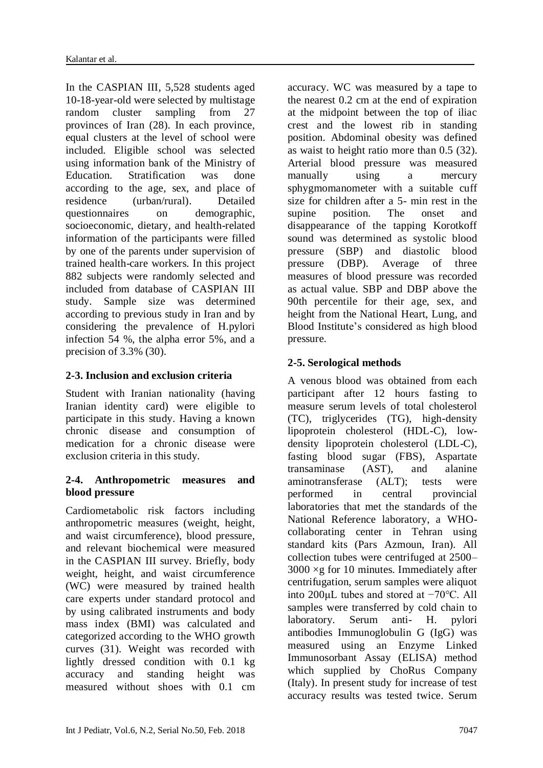In the CASPIAN III, 5,528 students aged 10-18-year-old were selected by multistage random cluster sampling from 27 provinces of Iran (28). In each province, equal clusters at the level of school were included. Eligible school was selected using information bank of the Ministry of Education. Stratification was done according to the age, sex, and place of residence (urban/rural). Detailed questionnaires on demographic, socioeconomic, dietary, and health-related information of the participants were filled by one of the parents under supervision of trained health-care workers. In this project 882 subjects were randomly selected and included from database of CASPIAN III study. Sample size was determined according to previous study in Iran and by considering the prevalence of H.pylori infection 54 %, the alpha error 5%, and a precision of 3.3% (30).

# **2-3. Inclusion and exclusion criteria**

Student with Iranian nationality (having Iranian identity card) were eligible to participate in this study. Having a known chronic disease and consumption of medication for a chronic disease were exclusion criteria in this study.

#### **2-4. Anthropometric measures and blood pressure**

Cardiometabolic risk factors including anthropometric measures (weight, height, and waist circumference), blood pressure, and relevant biochemical were measured in the CASPIAN III survey. Briefly, body weight, height, and waist circumference (WC) were measured by trained health care experts under standard protocol and by using calibrated instruments and body mass index (BMI) was calculated and categorized according to the WHO growth curves (31). Weight was recorded with lightly dressed condition with 0.1 kg accuracy and standing height was measured without shoes with 0.1 cm

accuracy. WC was measured by a tape to the nearest 0.2 cm at the end of expiration at the midpoint between the top of iliac crest and the lowest rib in standing position. Abdominal obesity was defined as waist to height ratio more than 0.5 (32). Arterial blood pressure was measured manually using a mercury sphygmomanometer with a suitable cuff size for children after a 5- min rest in the supine position. The onset and disappearance of the tapping Korotkoff sound was determined as systolic blood pressure (SBP) and diastolic blood pressure (DBP). Average of three measures of blood pressure was recorded as actual value. SBP and DBP above the 90th percentile for their age, sex, and height from the National Heart, Lung, and Blood Institute's considered as high blood pressure.

# **2-5. Serological methods**

A venous blood was obtained from each participant after 12 hours fasting to measure serum levels of total cholesterol (TC), triglycerides (TG), high-density lipoprotein cholesterol (HDL-C), lowdensity lipoprotein cholesterol (LDL-C), fasting blood sugar (FBS), Aspartate transaminase (AST), and alanine aminotransferase (ALT); tests were performed in central provincial laboratories that met the standards of the National Reference laboratory, a WHOcollaborating center in Tehran using standard kits (Pars Azmoun, Iran). All collection tubes were centrifuged at 2500–  $3000 \times g$  for 10 minutes. Immediately after centrifugation, serum samples were aliquot into 200μL tubes and stored at −70°C. All samples were transferred by cold chain to laboratory. Serum anti- H. pylori antibodies Immunoglobulin G (IgG) was measured using an Enzyme Linked Immunosorbant Assay (ELISA) method which supplied by ChoRus Company (Italy). In present study for increase of test accuracy results was tested twice. Serum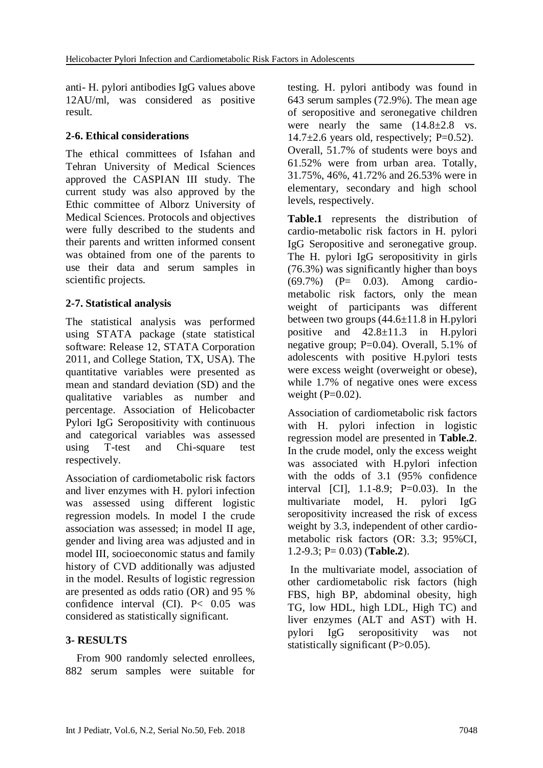anti- H. pylori antibodies IgG values above 12AU/ml, was considered as positive result.

#### **2-6. Ethical considerations**

The ethical committees of Isfahan and Tehran University of Medical Sciences approved the CASPIAN III study. The current study was also approved by the Ethic committee of Alborz University of Medical Sciences. Protocols and objectives were fully described to the students and their parents and written informed consent was obtained from one of the parents to use their data and serum samples in scientific projects.

#### **2-7. Statistical analysis**

The statistical analysis was performed using STATA package (state statistical software: Release 12, STATA Corporation 2011, and College Station, TX, USA). The quantitative variables were presented as mean and standard deviation (SD) and the qualitative variables as number and percentage. Association of Helicobacter Pylori IgG Seropositivity with continuous and categorical variables was assessed using T-test and Chi-square test respectively.

Association of cardiometabolic risk factors and liver enzymes with H. pylori infection was assessed using different logistic regression models. In model I the crude association was assessed; in model II age, gender and living area was adjusted and in model III, socioeconomic status and family history of CVD additionally was adjusted in the model. Results of logistic regression are presented as odds ratio (OR) and 95 % confidence interval (CI). P< 0.05 was considered as statistically significant.

# **3- RESULTS**

 From 900 randomly selected enrollees, 882 serum samples were suitable for testing. H. pylori antibody was found in 643 serum samples (72.9%). The mean age of seropositive and seronegative children were nearly the same  $(14.8\pm2.8 \text{ vs.}$  $14.7\pm2.6$  years old, respectively; P=0.52). Overall, 51.7% of students were boys and 61.52% were from urban area. Totally, 31.75%, 46%, 41.72% and 26.53% were in elementary, secondary and high school levels, respectively.

**Table.1** represents the distribution of cardio-metabolic risk factors in H. pylori IgG Seropositive and seronegative group. The H. pylori IgG seropositivity in girls (76.3%) was significantly higher than boys (69.7%) (P= 0.03). Among cardiometabolic risk factors, only the mean weight of participants was different between two groups  $(44.6 \pm 11.8 \text{ in H.} \text{py}$ positive and 42.8±11.3 in H.pylori negative group; P=0.04). Overall, 5.1% of adolescents with positive H.pylori tests were excess weight (overweight or obese), while 1.7% of negative ones were excess weight  $(P=0.02)$ .

Association of cardiometabolic risk factors with H. pylori infection in logistic regression model are presented in **Table.2**. In the crude model, only the excess weight was associated with H.pylori infection with the odds of 3.1 (95% confidence interval [CI], 1.1-8.9; P=0.03). In the multivariate model, H. pylori IgG seropositivity increased the risk of excess weight by 3.3, independent of other cardiometabolic risk factors (OR: 3.3; 95%CI, 1.2-9.3; P= 0.03) (**Table.2**).

In the multivariate model, association of other cardiometabolic risk factors (high FBS, high BP, abdominal obesity, high TG, low HDL, high LDL, High TC) and liver enzymes (ALT and AST) with H. pylori IgG seropositivity was not statistically significant (P>0.05).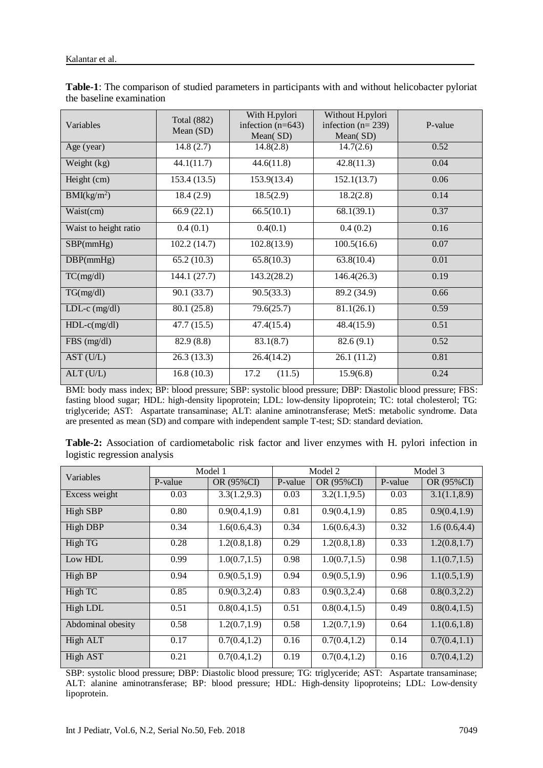| Variables               | <b>Total</b> (882)<br>Mean (SD) | With H.pylori<br>infection $(n=643)$<br>Mean(SD) | Without H.pylori<br>infection $(n=239)$<br>Mean(SD) | P-value |  |
|-------------------------|---------------------------------|--------------------------------------------------|-----------------------------------------------------|---------|--|
| Age (year)              | 14.8(2.7)                       | 14.8(2.8)                                        | 14.7(2.6)                                           | 0.52    |  |
| Weight (kg)             | 44.1(11.7)                      | 44.6(11.8)                                       | 42.8(11.3)                                          | 0.04    |  |
| Height (cm)             | 153.4 (13.5)                    | 153.9(13.4)                                      | 152.1(13.7)                                         | 0.06    |  |
| BMI(kg/m <sup>2</sup> ) | 18.4(2.9)                       | 18.5(2.9)                                        | 18.2(2.8)                                           | 0.14    |  |
| Waist(cm)               | 66.9(22.1)                      | 66.5(10.1)                                       | 68.1(39.1)                                          | 0.37    |  |
| Waist to height ratio   | 0.4(0.1)                        | 0.4(0.1)                                         | 0.4(0.2)                                            | 0.16    |  |
| SBP(mmHg)               | 102.2(14.7)                     | 102.8(13.9)                                      | 100.5(16.6)                                         | 0.07    |  |
| DBP(mmHg)               | 65.2(10.3)                      | 65.8(10.3)                                       | 63.8(10.4)                                          | 0.01    |  |
| TC(mg/dl)               | 144.1(27.7)                     | 143.2(28.2)                                      | 146.4(26.3)                                         | 0.19    |  |
| TG(mg/dl)               | 90.1 (33.7)                     | 90.5(33.3)                                       | 89.2 (34.9)                                         | 0.66    |  |
| $LDL-c$ (mg/dl)         | 80.1 (25.8)                     | 79.6(25.7)                                       | 81.1(26.1)                                          | 0.59    |  |
| $HDL-c(mg/dl)$          | 47.7 (15.5)                     | 47.4(15.4)                                       | 48.4(15.9)                                          | 0.51    |  |
| $FBS$ (mg/dl)           | 82.9 (8.8)                      | 83.1(8.7)                                        | 82.6(9.1)                                           | 0.52    |  |
| AST (U/L)               | 26.3(13.3)                      | 26.4(14.2)                                       | 26.1(11.2)                                          | 0.81    |  |
| ALT(U/L)                | 16.8(10.3)                      | 17.2<br>(11.5)                                   | 15.9(6.8)                                           | 0.24    |  |

**Table-1**: The comparison of studied parameters in participants with and without helicobacter pyloriat the baseline examination

BMI: body mass index; BP: blood pressure; SBP: systolic blood pressure; DBP: Diastolic blood pressure; FBS: fasting blood sugar; HDL: high-density lipoprotein; LDL: low-density lipoprotein; TC: total cholesterol; TG: triglyceride; AST: Aspartate transaminase; ALT: alanine aminotransferase; MetS: metabolic syndrome. Data are presented as mean (SD) and compare with independent sample T-test; SD: standard deviation.

|                              | Table-2: Association of cardiometabolic risk factor and liver enzymes with H. pylori infection in |  |  |  |  |  |
|------------------------------|---------------------------------------------------------------------------------------------------|--|--|--|--|--|
| logistic regression analysis |                                                                                                   |  |  |  |  |  |

| Variables         |         | Model 1       |         | Model 2       | Model 3 |               |  |
|-------------------|---------|---------------|---------|---------------|---------|---------------|--|
|                   | P-value | OR (95%CI)    | P-value | OR (95%CI)    | P-value | OR (95%CI)    |  |
| Excess weight     | 0.03    | 3.3(1.2, 9.3) | 0.03    | 3.2(1.1, 9.5) | 0.03    | 3.1(1.1, 8.9) |  |
| High SBP          | 0.80    | 0.9(0.4, 1.9) | 0.81    | 0.9(0.4, 1.9) | 0.85    | 0.9(0.4, 1.9) |  |
| High DBP          | 0.34    | 1.6(0.6, 4.3) | 0.34    | 1.6(0.6, 4.3) | 0.32    | 1.6(0.6, 4.4) |  |
| High TG           | 0.28    | 1.2(0.8, 1.8) | 0.29    | 1.2(0.8, 1.8) | 0.33    | 1.2(0.8, 1.7) |  |
| Low HDL           | 0.99    | 1.0(0.7, 1.5) | 0.98    | 1.0(0.7, 1.5) | 0.98    | 1.1(0.7, 1.5) |  |
| High BP           | 0.94    | 0.9(0.5, 1.9) | 0.94    | 0.9(0.5, 1.9) | 0.96    | 1.1(0.5, 1.9) |  |
| High TC           | 0.85    | 0.9(0.3, 2.4) | 0.83    | 0.9(0.3, 2.4) | 0.68    | 0.8(0.3, 2.2) |  |
| High LDL          | 0.51    | 0.8(0.4, 1.5) | 0.51    | 0.8(0.4, 1.5) | 0.49    | 0.8(0.4, 1.5) |  |
| Abdominal obesity | 0.58    | 1.2(0.7, 1.9) | 0.58    | 1.2(0.7, 1.9) | 0.64    | 1.1(0.6, 1.8) |  |
| High ALT          | 0.17    | 0.7(0.4, 1.2) | 0.16    | 0.7(0.4, 1.2) | 0.14    | 0.7(0.4, 1.1) |  |
| High AST          | 0.21    | 0.7(0.4, 1.2) | 0.19    | 0.7(0.4, 1.2) | 0.16    | 0.7(0.4, 1.2) |  |

SBP: systolic blood pressure; DBP: Diastolic blood pressure; TG: triglyceride; AST: Aspartate transaminase; ALT: alanine aminotransferase; BP: blood pressure; HDL: High-density lipoproteins; LDL: Low-density lipoprotein.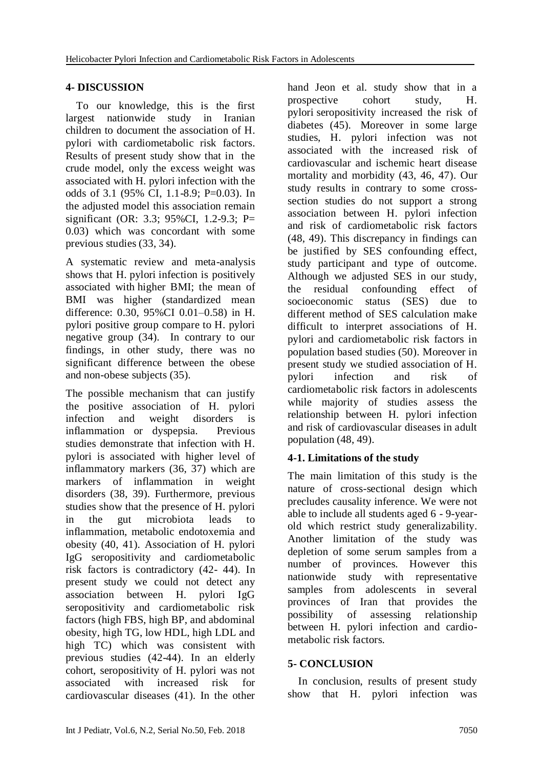#### **4- DISCUSSION**

 To our knowledge, this is the first largest nationwide study in Iranian children to document the association of H. pylori with cardiometabolic risk factors. Results of present study show that in the crude model, only the excess weight was associated with H. pylori infection with the odds of 3.1 (95% CI, 1.1-8.9; P=0.03). In the adjusted model this association remain significant (OR: 3.3; 95%CI, 1.2-9.3; P= 0.03) which was concordant with some previous studies (33, 34).

A systematic review and meta-analysis shows that H. pylori infection is positively associated with higher BMI; the mean of BMI was higher (standardized mean difference: 0.30, 95%CI 0.01–0.58) in H. pylori positive group compare to H. pylori negative group (34). In contrary to our findings, in other study, there was no significant difference between the obese and non-obese subjects (35).

The possible mechanism that can justify the positive association of H. pylori infection and weight disorders is inflammation or dyspepsia. Previous studies demonstrate that infection with H. pylori is associated with higher level of inflammatory markers (36, 37) which are markers of inflammation in weight disorders (38, 39). Furthermore, previous studies show that the presence of H. pylori in the gut microbiota leads to inflammation, metabolic endotoxemia and obesity (40, 41). Association of H. pylori IgG seropositivity and cardiometabolic risk factors is contradictory (42- 44). In present study we could not detect any association between H. pylori IgG seropositivity and cardiometabolic risk factors (high FBS, high BP, and abdominal obesity, high TG, low HDL, high LDL and high TC) which was consistent with previous studies (42-44). In an elderly cohort, seropositivity of H. pylori was not associated with increased risk for cardiovascular diseases (41). In the other

hand Jeon et al. study show that in a prospective cohort study, H. pylori seropositivity increased the risk of diabetes (45). Moreover in some large studies, H. pylori infection was not associated with the increased risk of cardiovascular and ischemic heart disease mortality and morbidity (43, 46, 47). Our study results in contrary to some crosssection studies do not support a strong association between H. pylori infection and risk of cardiometabolic risk factors (48, 49). This discrepancy in findings can be justified by SES confounding effect, study participant and type of outcome. Although we adjusted SES in our study, the residual confounding effect of socioeconomic status (SES) due to different method of SES calculation make difficult to interpret associations of H. pylori and cardiometabolic risk factors in population based studies (50). Moreover in present study we studied association of H. pylori infection and risk of cardiometabolic risk factors in adolescents while majority of studies assess the relationship between H. pylori infection and risk of cardiovascular diseases in adult population (48, 49).

# **4-1. Limitations of the study**

The main limitation of this study is the nature of cross-sectional design which precludes causality inference. We were not able to include all students aged 6 - 9-yearold which restrict study generalizability. Another limitation of the study was depletion of some serum samples from a number of provinces. However this nationwide study with representative samples from adolescents in several provinces of Iran that provides the possibility of assessing relationship between H. pylori infection and cardiometabolic risk factors.

#### **5- CONCLUSION**

 In conclusion, results of present study show that H. pylori infection was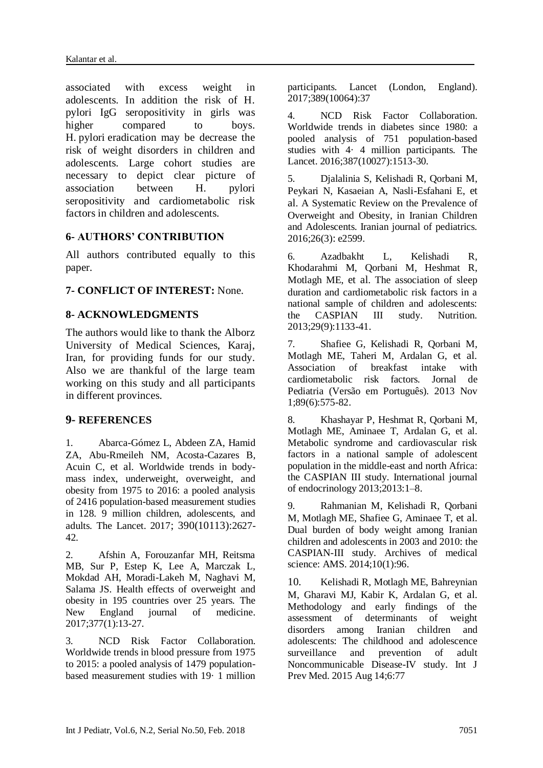associated with excess weight in adolescents. In addition the risk of H. pylori IgG seropositivity in girls was higher compared to boys. H. pylori eradication may be decrease the risk of weight disorders in children and adolescents. Large cohort studies are necessary to depict clear picture of association between H. pylori seropositivity and cardiometabolic risk factors in children and adolescents.

#### **6- AUTHORS' CONTRIBUTION**

All authors contributed equally to this paper.

#### **7- CONFLICT OF INTEREST:** None.

#### **8- ACKNOWLEDGMENTS**

The authors would like to thank the Alborz University of Medical Sciences, Karaj, Iran, for providing funds for our study. Also we are thankful of the large team working on this study and all participants in different provinces.

#### **9- REFERENCES**

1. Abarca-Gómez L, Abdeen ZA, Hamid ZA, Abu-Rmeileh NM, Acosta-Cazares B, Acuin C, et al. Worldwide trends in bodymass index, underweight, overweight, and obesity from 1975 to 2016: a pooled analysis of 2416 population-based measurement studies in 128. 9 million children, adolescents, and adults. The Lancet. 2017; 390(10113):2627- 42.

2. Afshin A, Forouzanfar MH, Reitsma MB, Sur P, Estep K, Lee A, Marczak L, Mokdad AH, Moradi-Lakeh M, Naghavi M, Salama JS. Health effects of overweight and obesity in 195 countries over 25 years. The New England journal of medicine. 2017;377(1):13-27.

3. NCD Risk Factor Collaboration. Worldwide trends in blood pressure from 1975 to 2015: a pooled analysis of 1479 populationbased measurement studies with 19· 1 million participants. Lancet (London, England). 2017;389(10064):37

4. NCD Risk Factor Collaboration. Worldwide trends in diabetes since 1980: a pooled analysis of 751 population-based studies with 4· 4 million participants. The Lancet. 2016;387(10027):1513-30.

5. Djalalinia S, Kelishadi R, Qorbani M, Peykari N, Kasaeian A, Nasli-Esfahani E, et al. A Systematic Review on the Prevalence of Overweight and Obesity, in Iranian Children and Adolescents. Iranian journal of pediatrics. 2016;26(3): e2599.

6. Azadbakht L, Kelishadi R, Khodarahmi M, Qorbani M, Heshmat R, Motlagh ME, et al. The association of sleep duration and cardiometabolic risk factors in a national sample of children and adolescents: the CASPIAN III study. Nutrition. 2013;29(9):1133-41.

7. Shafiee G, Kelishadi R, Qorbani M, Motlagh ME, Taheri M, Ardalan G, et al. Association of breakfast intake with cardiometabolic risk factors. Jornal de Pediatria (Versão em Português). 2013 Nov 1;89(6):575-82.

8. Khashayar P, Heshmat R, Qorbani M, Motlagh ME, Aminaee T, Ardalan G, et al. Metabolic syndrome and cardiovascular risk factors in a national sample of adolescent population in the middle-east and north Africa: the CASPIAN III study. International journal of endocrinology 2013;2013:1–8.

9. Rahmanian M, Kelishadi R, Qorbani M, Motlagh ME, Shafiee G, Aminaee T, et al. Dual burden of body weight among Iranian children and adolescents in 2003 and 2010: the CASPIAN-III study. Archives of medical science: AMS. 2014;10(1):96.

10. Kelishadi R, Motlagh ME, Bahreynian M, Gharavi MJ, Kabir K, Ardalan G, et al. Methodology and early findings of the assessment of determinants of weight disorders among Iranian children and adolescents: The childhood and adolescence surveillance and prevention of adult Noncommunicable Disease-IV study. [Int J](https://www.ncbi.nlm.nih.gov/pubmed/26425332)  [Prev Med.](https://www.ncbi.nlm.nih.gov/pubmed/26425332) 2015 Aug 14;6:77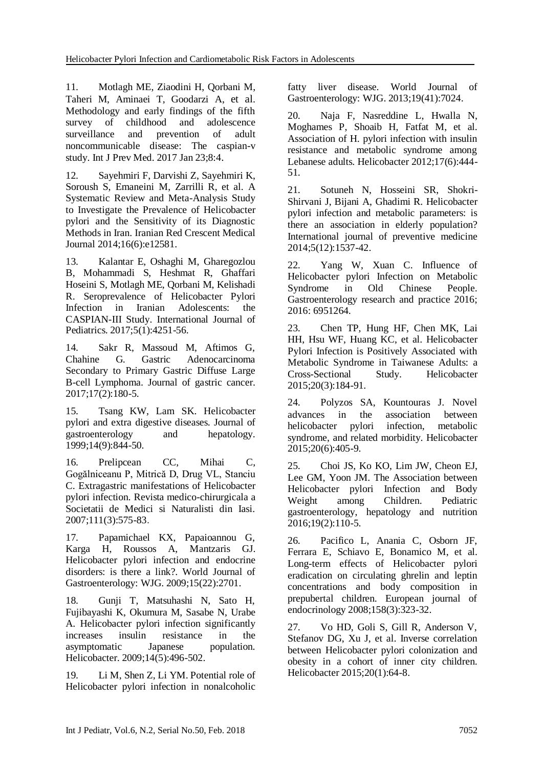11. Motlagh ME, Ziaodini H, Qorbani M, Taheri M, Aminaei T, Goodarzi A, et al. Methodology and early findings of the fifth survey of childhood and adolescence surveillance and prevention of adult noncommunicable disease: The caspian-v study. [Int J Prev Med.](https://www.ncbi.nlm.nih.gov/pubmed/28217266) 2017 Jan 23;8:4.

12. Sayehmiri F, Darvishi Z, Sayehmiri K, Soroush S, Emaneini M, Zarrilli R, et al. A Systematic Review and Meta-Analysis Study to Investigate the Prevalence of Helicobacter pylori and the Sensitivity of its Diagnostic Methods in Iran. Iranian Red Crescent Medical Journal 2014;16(6):e12581.

13. Kalantar E, Oshaghi M, Gharegozlou B, Mohammadi S, Heshmat R, Ghaffari Hoseini S, Motlagh ME, Qorbani M, Kelishadi R. Seroprevalence of Helicobacter Pylori Infection in Iranian Adolescents: the CASPIAN-III Study. International Journal of Pediatrics. 2017;5(1):4251-56.

14. Sakr R, Massoud M, Aftimos G, Chahine G. Gastric Adenocarcinoma Gastric Adenocarcinoma Secondary to Primary Gastric Diffuse Large B-cell Lymphoma. Journal of gastric cancer. 2017;17(2):180-5.

15. Tsang KW, Lam SK. Helicobacter pylori and extra digestive diseases. Journal of gastroenterology and hepatology. 1999;14(9):844-50.

16. Prelipcean CC, Mihai C, Gogălniceanu P, Mitrică D, Drug VL, Stanciu C. Extragastric manifestations of Helicobacter pylori infection. Revista medico-chirurgicala a Societatii de Medici si Naturalisti din Iasi. 2007;111(3):575-83.

17. Papamichael KX, Papaioannou G, Karga H, Roussos A, Mantzaris GJ. Helicobacter pylori infection and endocrine disorders: is there a link?. World Journal of Gastroenterology: WJG. 2009;15(22):2701.

18. Gunji T, Matsuhashi N, Sato H, Fujibayashi K, Okumura M, Sasabe N, Urabe A. Helicobacter pylori infection significantly increases insulin resistance in the asymptomatic Japanese population. Helicobacter. 2009;14(5):496-502.

19. Li M, Shen Z, Li YM. Potential role of Helicobacter pylori infection in nonalcoholic fatty liver disease. World Journal of Gastroenterology: WJG. 2013;19(41):7024.

20. Naja F, Nasreddine L, Hwalla N, Moghames P, Shoaib H, Fatfat M, et al. Association of H. pylori infection with insulin resistance and metabolic syndrome among Lebanese adults. Helicobacter 2012;17(6):444- 51.

21. Sotuneh N, Hosseini SR, Shokri-Shirvani J, Bijani A, Ghadimi R. Helicobacter pylori infection and metabolic parameters: is there an association in elderly population? International journal of preventive medicine 2014;5(12):1537-42.

22. Yang W, Xuan C. Influence of Helicobacter pylori Infection on Metabolic Syndrome in Old Chinese People. Gastroenterology research and practice 2016; 2016: 6951264.

23. Chen TP, Hung HF, Chen MK, Lai HH, Hsu WF, Huang KC, et al. Helicobacter Pylori Infection is Positively Associated with Metabolic Syndrome in Taiwanese Adults: a Cross-Sectional Study. Helicobacter 2015;20(3):184-91.

24. Polyzos SA, Kountouras J. Novel advances in the association between helicobacter pylori infection, metabolic syndrome, and related morbidity. Helicobacter 2015;20(6):405-9.

25. Choi JS, Ko KO, Lim JW, Cheon EJ, Lee GM, Yoon JM. The Association between Helicobacter pylori Infection and Body Weight among Children. Pediatric gastroenterology, hepatology and nutrition 2016;19(2):110-5.

26. Pacifico L, Anania C, Osborn JF, Ferrara E, Schiavo E, Bonamico M, et al. Long-term effects of Helicobacter pylori eradication on circulating ghrelin and leptin concentrations and body composition in prepubertal children. European journal of endocrinology 2008;158(3):323-32.

27. Vo HD, Goli S, Gill R, Anderson V, Stefanov DG, Xu J, et al. Inverse correlation between Helicobacter pylori colonization and obesity in a cohort of inner city children. Helicobacter 2015;20(1):64-8.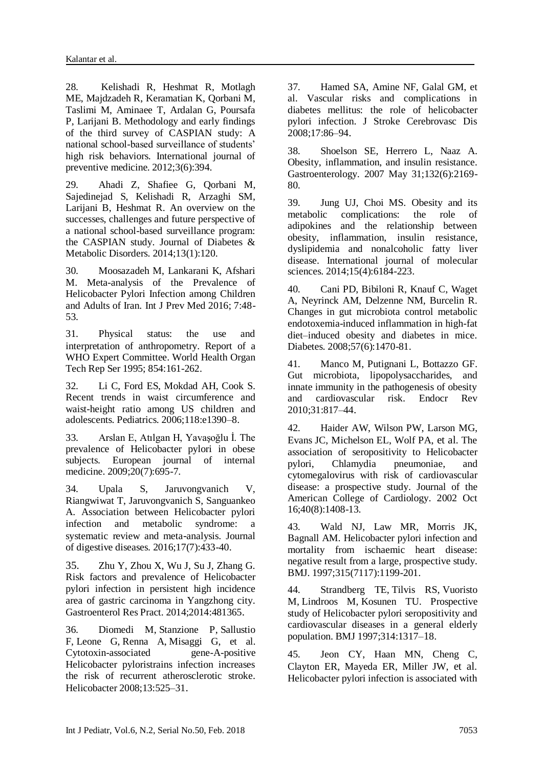28. Kelishadi R, Heshmat R, Motlagh ME, Majdzadeh R, Keramatian K, Qorbani M, Taslimi M, Aminaee T, Ardalan G, Poursafa P, Larijani B. Methodology and early findings of the third survey of CASPIAN study: A national school-based surveillance of students' high risk behaviors. International journal of preventive medicine. 2012;3(6):394.

29. Ahadi Z, Shafiee G, Qorbani M, Sajedinejad S, Kelishadi R, Arzaghi SM, Larijani B, Heshmat R. An overview on the successes, challenges and future perspective of a national school-based surveillance program: the CASPIAN study. Journal of Diabetes & Metabolic Disorders. 2014;13(1):120.

30. Moosazadeh M, Lankarani K, Afshari M. Meta-analysis of the Prevalence of Helicobacter Pylori Infection among Children and Adults of Iran. Int J Prev Med 2016; 7:48- 53.

31. Physical status: the use and interpretation of anthropometry. Report of a WHO Expert Committee. World Health Organ Tech Rep Ser 1995; 854:161-262.

32. Li C, Ford ES, Mokdad AH, Cook S. Recent trends in waist circumference and waist-height ratio among US children and adolescents. Pediatrics. 2006;118:e1390–8.

33. Arslan E, Atılgan H, Yavaşoğlu İ. The prevalence of Helicobacter pylori in obese subjects. European journal of internal medicine. 2009;20(7):695-7.

34. Upala S, Jaruvongvanich V, Riangwiwat T, Jaruvongvanich S, Sanguankeo A. Association between Helicobacter pylori infection and metabolic syndrome: a systematic review and meta-analysis. Journal of digestive diseases. 2016;17(7):433-40.

35. Zhu Y, Zhou X, Wu J, Su J, Zhang G. Risk factors and prevalence of Helicobacter pylori infection in persistent high incidence area of gastric carcinoma in Yangzhong city. [Gastroenterol Res Pract.](https://www.ncbi.nlm.nih.gov/pubmed/24550981) 2014;2014:481365.

36. [Diomedi M,](https://www.ncbi.nlm.nih.gov/pubmed/?term=Diomedi%20M%5BAuthor%5D&cauthor=true&cauthor_uid=19166418) [Stanzione P,](https://www.ncbi.nlm.nih.gov/pubmed/?term=Stanzione%20P%5BAuthor%5D&cauthor=true&cauthor_uid=19166418) [Sallustio](https://www.ncbi.nlm.nih.gov/pubmed/?term=Sallustio%20F%5BAuthor%5D&cauthor=true&cauthor_uid=19166418)  [F,](https://www.ncbi.nlm.nih.gov/pubmed/?term=Sallustio%20F%5BAuthor%5D&cauthor=true&cauthor_uid=19166418) [Leone G,](https://www.ncbi.nlm.nih.gov/pubmed/?term=Leone%20G%5BAuthor%5D&cauthor=true&cauthor_uid=19166418) [Renna A,](https://www.ncbi.nlm.nih.gov/pubmed/?term=Renna%20A%5BAuthor%5D&cauthor=true&cauthor_uid=19166418) [Misaggi G,](https://www.ncbi.nlm.nih.gov/pubmed/?term=Misaggi%20G%5BAuthor%5D&cauthor=true&cauthor_uid=19166418) et al. Cytotoxin-associated gene-A-positive Helicobacter pyloristrains infection increases the risk of recurrent atherosclerotic stroke. Helicobacter 2008;13:525–31.

37. Hamed SA, Amine NF, Galal GM, et al. Vascular risks and complications in diabetes mellitus: the role of helicobacter pylori infection. J Stroke Cerebrovasc Dis 2008;17:86–94.

38. Shoelson SE, Herrero L, Naaz A. Obesity, inflammation, and insulin resistance. Gastroenterology. 2007 May 31;132(6):2169- 80.

39. Jung UJ, Choi MS. Obesity and its<br>metabolic complications: the role of metabolic complications: the role of adipokines and the relationship between obesity, inflammation, insulin resistance, dyslipidemia and nonalcoholic fatty liver disease. International journal of molecular sciences. 2014;15(4):6184-223.

40. Cani PD, Bibiloni R, Knauf C, Waget A, Neyrinck AM, Delzenne NM, Burcelin R. Changes in gut microbiota control metabolic endotoxemia-induced inflammation in high-fat diet–induced obesity and diabetes in mice. Diabetes. 2008;57(6):1470-81.

41. Manco M, Putignani L, Bottazzo GF. Gut microbiota, lipopolysaccharides, and innate immunity in the pathogenesis of obesity and cardiovascular risk. Endocr Rev 2010;31:817–44.

42. Haider AW, Wilson PW, Larson MG, Evans JC, Michelson EL, Wolf PA, et al. The association of seropositivity to Helicobacter pylori, Chlamydia pneumoniae, and cytomegalovirus with risk of cardiovascular disease: a prospective study. Journal of the American College of Cardiology. 2002 Oct 16;40(8):1408-13.

43. Wald NJ, Law MR, Morris JK, Bagnall AM. Helicobacter pylori infection and mortality from ischaemic heart disease: negative result from a large, prospective study. BMJ. 1997;315(7117):1199-201.

44. [Strandberg TE,](https://www.ncbi.nlm.nih.gov/pubmed/?term=Strandberg%20TE%5BAuthor%5D&cauthor=true&cauthor_uid=9158467) [Tilvis RS,](https://www.ncbi.nlm.nih.gov/pubmed/?term=Tilvis%20RS%5BAuthor%5D&cauthor=true&cauthor_uid=9158467) [Vuoristo](https://www.ncbi.nlm.nih.gov/pubmed/?term=Vuoristo%20M%5BAuthor%5D&cauthor=true&cauthor_uid=9158467)  [M,](https://www.ncbi.nlm.nih.gov/pubmed/?term=Vuoristo%20M%5BAuthor%5D&cauthor=true&cauthor_uid=9158467) [Lindroos M,](https://www.ncbi.nlm.nih.gov/pubmed/?term=Lindroos%20M%5BAuthor%5D&cauthor=true&cauthor_uid=9158467) [Kosunen TU.](https://www.ncbi.nlm.nih.gov/pubmed/?term=Kosunen%20TU%5BAuthor%5D&cauthor=true&cauthor_uid=9158467) Prospective study of Helicobacter pylori seropositivity and cardiovascular diseases in a general elderly population. BMJ 1997;314:1317–18.

45. Jeon CY, Haan MN, Cheng C, Clayton ER, Mayeda ER, Miller JW, et al. Helicobacter pylori infection is associated with